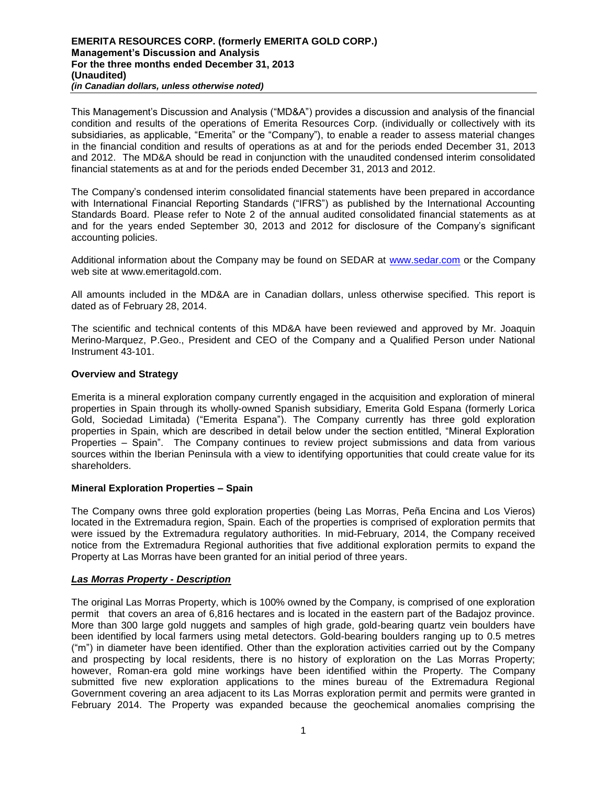This Management's Discussion and Analysis ("MD&A") provides a discussion and analysis of the financial condition and results of the operations of Emerita Resources Corp. (individually or collectively with its subsidiaries, as applicable, "Emerita" or the "Company"), to enable a reader to assess material changes in the financial condition and results of operations as at and for the periods ended December 31, 2013 and 2012. The MD&A should be read in conjunction with the unaudited condensed interim consolidated financial statements as at and for the periods ended December 31, 2013 and 2012.

The Company's condensed interim consolidated financial statements have been prepared in accordance with International Financial Reporting Standards ("IFRS") as published by the International Accounting Standards Board. Please refer to Note 2 of the annual audited consolidated financial statements as at and for the years ended September 30, 2013 and 2012 for disclosure of the Company's significant accounting policies.

Additional information about the Company may be found on SEDAR at [www.sedar.com](http://www.sedar.com/) or the Company web site at www.emeritagold.com.

All amounts included in the MD&A are in Canadian dollars, unless otherwise specified. This report is dated as of February 28, 2014.

The scientific and technical contents of this MD&A have been reviewed and approved by Mr. Joaquin Merino-Marquez, P.Geo., President and CEO of the Company and a Qualified Person under National Instrument 43-101.

## **Overview and Strategy**

Emerita is a mineral exploration company currently engaged in the acquisition and exploration of mineral properties in Spain through its wholly-owned Spanish subsidiary, Emerita Gold Espana (formerly Lorica Gold, Sociedad Limitada) ("Emerita Espana"). The Company currently has three gold exploration properties in Spain, which are described in detail below under the section entitled, "Mineral Exploration Properties – Spain". The Company continues to review project submissions and data from various sources within the Iberian Peninsula with a view to identifying opportunities that could create value for its shareholders.

## **Mineral Exploration Properties – Spain**

The Company owns three gold exploration properties (being Las Morras, Peña Encina and Los Vieros) located in the Extremadura region, Spain. Each of the properties is comprised of exploration permits that were issued by the Extremadura regulatory authorities. In mid-February, 2014, the Company received notice from the Extremadura Regional authorities that five additional exploration permits to expand the Property at Las Morras have been granted for an initial period of three years.

## *Las Morras Property - Description*

The original Las Morras Property, which is 100% owned by the Company, is comprised of one exploration permit that covers an area of 6,816 hectares and is located in the eastern part of the Badajoz province. More than 300 large gold nuggets and samples of high grade, gold-bearing quartz vein boulders have been identified by local farmers using metal detectors. Gold-bearing boulders ranging up to 0.5 metres ("m") in diameter have been identified. Other than the exploration activities carried out by the Company and prospecting by local residents, there is no history of exploration on the Las Morras Property; however, Roman-era gold mine workings have been identified within the Property. The Company submitted five new exploration applications to the mines bureau of the Extremadura Regional Government covering an area adjacent to its Las Morras exploration permit and permits were granted in February 2014. The Property was expanded because the geochemical anomalies comprising the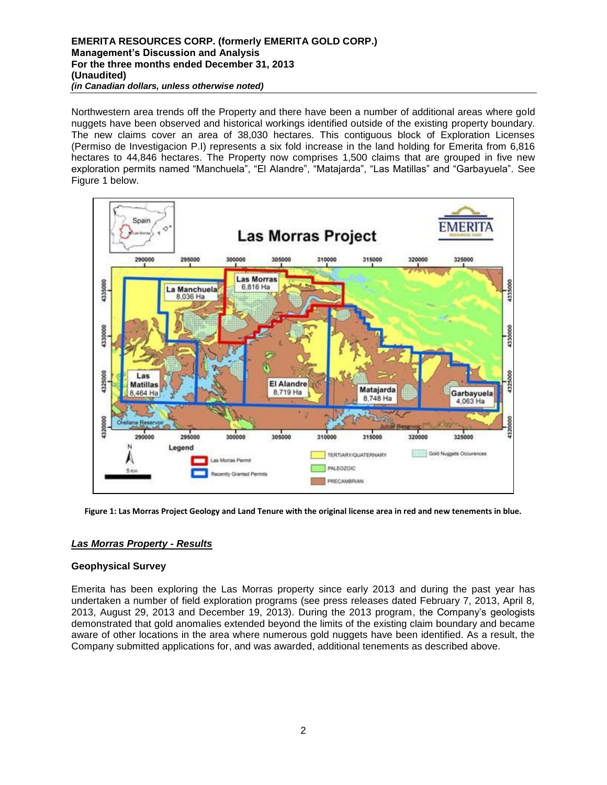#### **EMERITA RESOURCES CORP. (formerly EMERITA GOLD CORP.) Management's Discussion and Analysis For the three months ended December 31, 2013 (Unaudited)** *(in Canadian dollars, unless otherwise noted)*

Northwestern area trends off the Property and there have been a number of additional areas where gold nuggets have been observed and historical workings identified outside of the existing property boundary. The new claims cover an area of 38,030 hectares. This contiguous block of Exploration Licenses (Permiso de Investigacion P.I) represents a six fold increase in the land holding for Emerita from 6,816 hectares to 44,846 hectares. The Property now comprises 1,500 claims that are grouped in five new exploration permits named "Manchuela", "El Alandre", "Matajarda", "Las Matillas" and "Garbayuela". See Figure 1 below.



**Figure 1: Las Morras Project Geology and Land Tenure with the original license area in red and new tenements in blue.**

## *Las Morras Property - Results*

## **Geophysical Survey**

Emerita has been exploring the Las Morras property since early 2013 and during the past year has undertaken a number of field exploration programs (see press releases dated February 7, 2013, April 8, 2013, August 29, 2013 and December 19, 2013). During the 2013 program, the Company's geologists demonstrated that gold anomalies extended beyond the limits of the existing claim boundary and became aware of other locations in the area where numerous gold nuggets have been identified. As a result, the Company submitted applications for, and was awarded, additional tenements as described above.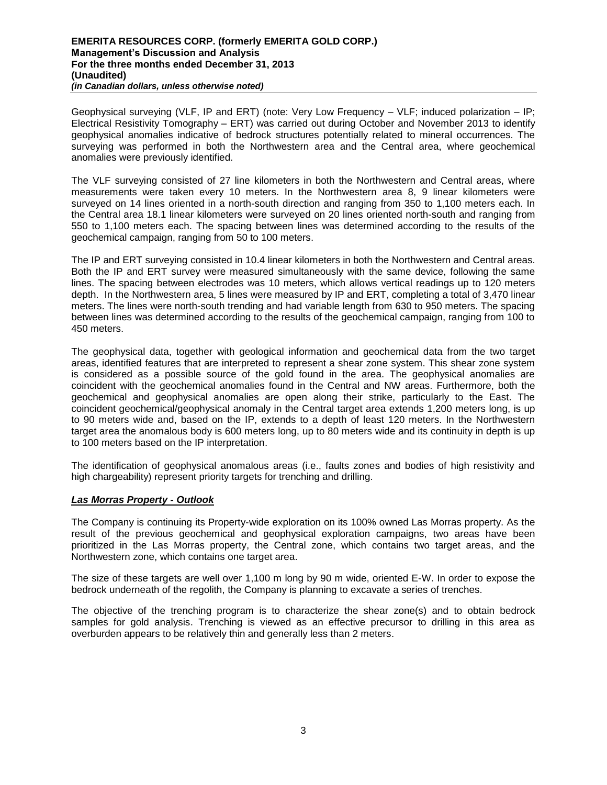Geophysical surveying (VLF, IP and ERT) (note: Very Low Frequency – VLF; induced polarization – IP; Electrical Resistivity Tomography – ERT) was carried out during October and November 2013 to identify geophysical anomalies indicative of bedrock structures potentially related to mineral occurrences. The surveying was performed in both the Northwestern area and the Central area, where geochemical anomalies were previously identified.

The VLF surveying consisted of 27 line kilometers in both the Northwestern and Central areas, where measurements were taken every 10 meters. In the Northwestern area 8, 9 linear kilometers were surveyed on 14 lines oriented in a north-south direction and ranging from 350 to 1,100 meters each. In the Central area 18.1 linear kilometers were surveyed on 20 lines oriented north-south and ranging from 550 to 1,100 meters each. The spacing between lines was determined according to the results of the geochemical campaign, ranging from 50 to 100 meters.

The IP and ERT surveying consisted in 10.4 linear kilometers in both the Northwestern and Central areas. Both the IP and ERT survey were measured simultaneously with the same device, following the same lines. The spacing between electrodes was 10 meters, which allows vertical readings up to 120 meters depth. In the Northwestern area, 5 lines were measured by IP and ERT, completing a total of 3,470 linear meters. The lines were north-south trending and had variable length from 630 to 950 meters. The spacing between lines was determined according to the results of the geochemical campaign, ranging from 100 to 450 meters.

The geophysical data, together with geological information and geochemical data from the two target areas, identified features that are interpreted to represent a shear zone system. This shear zone system is considered as a possible source of the gold found in the area. The geophysical anomalies are coincident with the geochemical anomalies found in the Central and NW areas. Furthermore, both the geochemical and geophysical anomalies are open along their strike, particularly to the East. The coincident geochemical/geophysical anomaly in the Central target area extends 1,200 meters long, is up to 90 meters wide and, based on the IP, extends to a depth of least 120 meters. In the Northwestern target area the anomalous body is 600 meters long, up to 80 meters wide and its continuity in depth is up to 100 meters based on the IP interpretation.

The identification of geophysical anomalous areas (i.e., faults zones and bodies of high resistivity and high chargeability) represent priority targets for trenching and drilling.

## *Las Morras Property - Outlook*

The Company is continuing its Property-wide exploration on its 100% owned Las Morras property. As the result of the previous geochemical and geophysical exploration campaigns, two areas have been prioritized in the Las Morras property, the Central zone, which contains two target areas, and the Northwestern zone, which contains one target area.

The size of these targets are well over 1,100 m long by 90 m wide, oriented E-W. In order to expose the bedrock underneath of the regolith, the Company is planning to excavate a series of trenches.

The objective of the trenching program is to characterize the shear zone(s) and to obtain bedrock samples for gold analysis. Trenching is viewed as an effective precursor to drilling in this area as overburden appears to be relatively thin and generally less than 2 meters.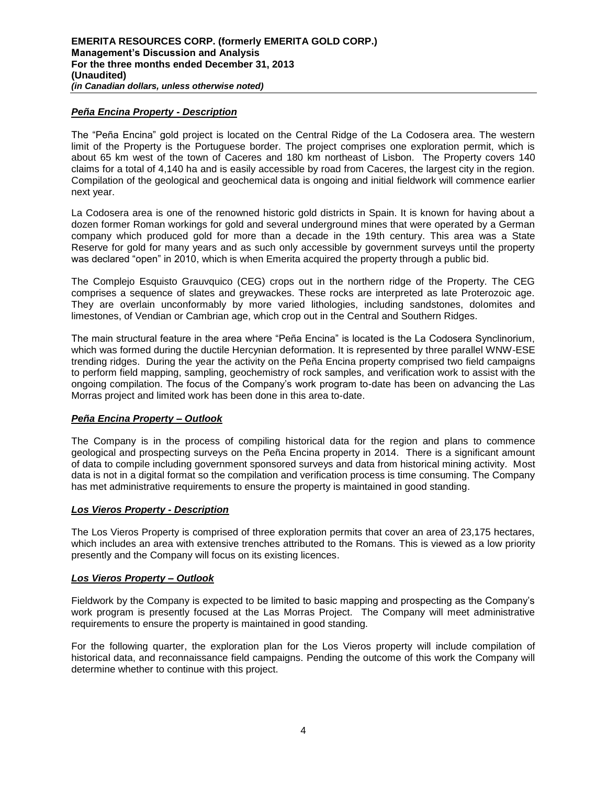# *Peña Encina Property - Description*

The "Peña Encina" gold project is located on the Central Ridge of the La Codosera area. The western limit of the Property is the Portuguese border. The project comprises one exploration permit, which is about 65 km west of the town of Caceres and 180 km northeast of Lisbon. The Property covers 140 claims for a total of 4,140 ha and is easily accessible by road from Caceres, the largest city in the region. Compilation of the geological and geochemical data is ongoing and initial fieldwork will commence earlier next year.

La Codosera area is one of the renowned historic gold districts in Spain. It is known for having about a dozen former Roman workings for gold and several underground mines that were operated by a German company which produced gold for more than a decade in the 19th century. This area was a State Reserve for gold for many years and as such only accessible by government surveys until the property was declared "open" in 2010, which is when Emerita acquired the property through a public bid.

The Complejo Esquisto Grauvquico (CEG) crops out in the northern ridge of the Property. The CEG comprises a sequence of slates and greywackes. These rocks are interpreted as late Proterozoic age. They are overlain unconformably by more varied lithologies, including sandstones, dolomites and limestones, of Vendian or Cambrian age, which crop out in the Central and Southern Ridges.

The main structural feature in the area where "Peña Encina" is located is the La Codosera Synclinorium, which was formed during the ductile Hercynian deformation. It is represented by three parallel WNW-ESE trending ridges. During the year the activity on the Peña Encina property comprised two field campaigns to perform field mapping, sampling, geochemistry of rock samples, and verification work to assist with the ongoing compilation. The focus of the Company's work program to-date has been on advancing the Las Morras project and limited work has been done in this area to-date.

## *Peña Encina Property – Outlook*

The Company is in the process of compiling historical data for the region and plans to commence geological and prospecting surveys on the Peña Encina property in 2014. There is a significant amount of data to compile including government sponsored surveys and data from historical mining activity. Most data is not in a digital format so the compilation and verification process is time consuming. The Company has met administrative requirements to ensure the property is maintained in good standing.

## *Los Vieros Property - Description*

The Los Vieros Property is comprised of three exploration permits that cover an area of 23,175 hectares, which includes an area with extensive trenches attributed to the Romans. This is viewed as a low priority presently and the Company will focus on its existing licences.

## *Los Vieros Property – Outlook*

Fieldwork by the Company is expected to be limited to basic mapping and prospecting as the Company's work program is presently focused at the Las Morras Project. The Company will meet administrative requirements to ensure the property is maintained in good standing.

For the following quarter, the exploration plan for the Los Vieros property will include compilation of historical data, and reconnaissance field campaigns. Pending the outcome of this work the Company will determine whether to continue with this project.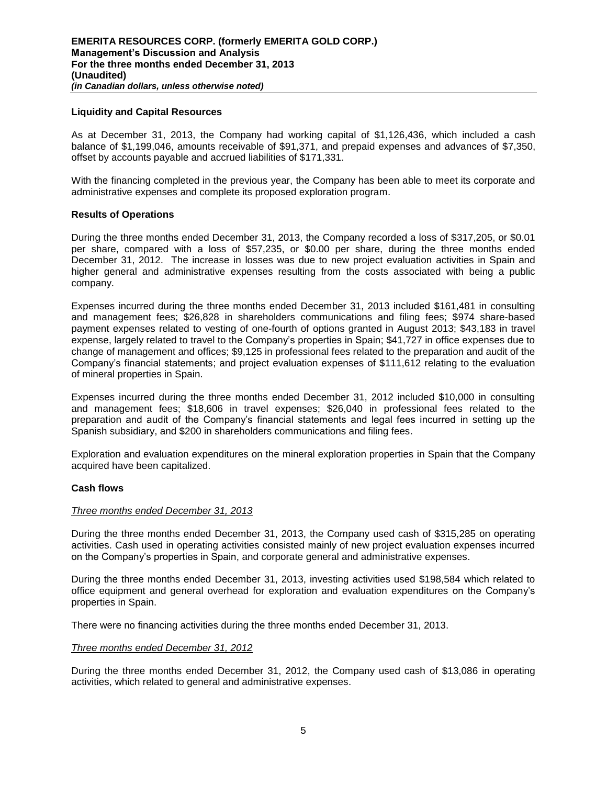### **Liquidity and Capital Resources**

As at December 31, 2013, the Company had working capital of \$1,126,436, which included a cash balance of \$1,199,046, amounts receivable of \$91,371, and prepaid expenses and advances of \$7,350, offset by accounts payable and accrued liabilities of \$171,331.

With the financing completed in the previous year, the Company has been able to meet its corporate and administrative expenses and complete its proposed exploration program.

#### **Results of Operations**

During the three months ended December 31, 2013, the Company recorded a loss of \$317,205, or \$0.01 per share, compared with a loss of \$57,235, or \$0.00 per share, during the three months ended December 31, 2012. The increase in losses was due to new project evaluation activities in Spain and higher general and administrative expenses resulting from the costs associated with being a public company.

Expenses incurred during the three months ended December 31, 2013 included \$161,481 in consulting and management fees; \$26,828 in shareholders communications and filing fees; \$974 share-based payment expenses related to vesting of one-fourth of options granted in August 2013; \$43,183 in travel expense, largely related to travel to the Company's properties in Spain; \$41,727 in office expenses due to change of management and offices; \$9,125 in professional fees related to the preparation and audit of the Company's financial statements; and project evaluation expenses of \$111,612 relating to the evaluation of mineral properties in Spain.

Expenses incurred during the three months ended December 31, 2012 included \$10,000 in consulting and management fees; \$18,606 in travel expenses; \$26,040 in professional fees related to the preparation and audit of the Company's financial statements and legal fees incurred in setting up the Spanish subsidiary, and \$200 in shareholders communications and filing fees.

Exploration and evaluation expenditures on the mineral exploration properties in Spain that the Company acquired have been capitalized.

#### **Cash flows**

#### *Three months ended December 31, 2013*

During the three months ended December 31, 2013, the Company used cash of \$315,285 on operating activities. Cash used in operating activities consisted mainly of new project evaluation expenses incurred on the Company's properties in Spain, and corporate general and administrative expenses.

During the three months ended December 31, 2013, investing activities used \$198,584 which related to office equipment and general overhead for exploration and evaluation expenditures on the Company's properties in Spain.

There were no financing activities during the three months ended December 31, 2013.

#### *Three months ended December 31, 2012*

During the three months ended December 31, 2012, the Company used cash of \$13,086 in operating activities, which related to general and administrative expenses.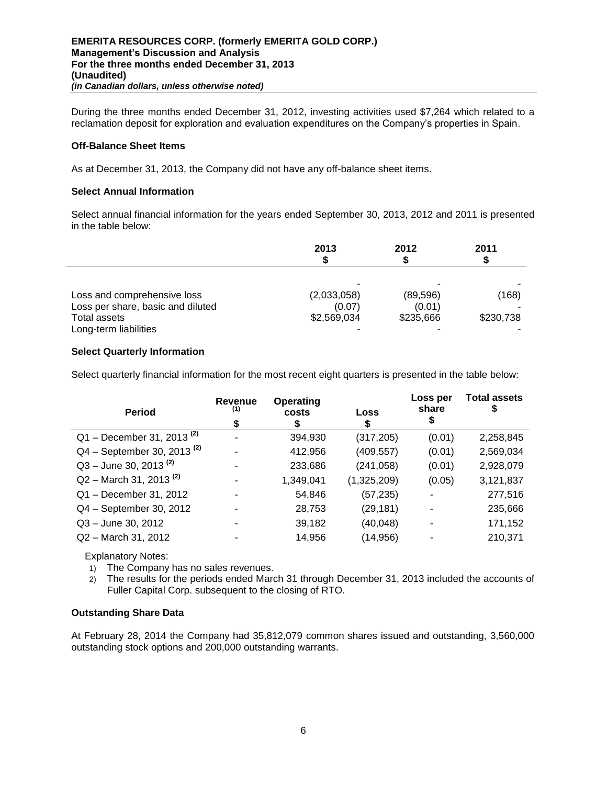During the three months ended December 31, 2012, investing activities used \$7,264 which related to a reclamation deposit for exploration and evaluation expenditures on the Company's properties in Spain.

### **Off-Balance Sheet Items**

As at December 31, 2013, the Company did not have any off-balance sheet items.

#### **Select Annual Information**

Select annual financial information for the years ended September 30, 2013, 2012 and 2011 is presented in the table below:

|                                   | 2013        | 2012      | 2011      |
|-----------------------------------|-------------|-----------|-----------|
|                                   |             |           |           |
| Loss and comprehensive loss       | (2,033,058) | (89, 596) | (168)     |
| Loss per share, basic and diluted | (0.07)      | (0.01)    |           |
| Total assets                      | \$2,569,034 | \$235,666 | \$230,738 |
| Long-term liabilities             |             |           |           |

## **Select Quarterly Information**

Select quarterly financial information for the most recent eight quarters is presented in the table below:

| <b>Period</b>                           | Revenue<br>(1)<br>\$ | Operating<br>costs<br>S. | Loss<br>\$  | Loss per<br>share | <b>Total assets</b><br>5 |
|-----------------------------------------|----------------------|--------------------------|-------------|-------------------|--------------------------|
| $Q1 -$ December 31, 2013 <sup>(2)</sup> |                      | 394,930                  | (317, 205)  | (0.01)            | 2,258,845                |
| $Q4 - September 30, 2013^{(2)}$         |                      | 412,956                  | (409, 557)  | (0.01)            | 2,569,034                |
| $Q3 -$ June 30, 2013 <sup>(2)</sup>     |                      | 233,686                  | (241, 058)  | (0.01)            | 2,928,079                |
| $Q2 -$ March 31, 2013 <sup>(2)</sup>    |                      | 1,349,041                | (1,325,209) | (0.05)            | 3,121,837                |
| Q1 - December 31, 2012                  |                      | 54,846                   | (57, 235)   |                   | 277,516                  |
| Q4 - September 30, 2012                 |                      | 28,753                   | (29, 181)   |                   | 235,666                  |
| Q3 - June 30, 2012                      |                      | 39,182                   | (40, 048)   |                   | 171,152                  |
| Q2 - March 31, 2012                     |                      | 14,956                   | (14, 956)   |                   | 210,371                  |

Explanatory Notes:

- 1) The Company has no sales revenues.
- 2) The results for the periods ended March 31 through December 31, 2013 included the accounts of Fuller Capital Corp. subsequent to the closing of RTO.

#### **Outstanding Share Data**

At February 28, 2014 the Company had 35,812,079 common shares issued and outstanding, 3,560,000 outstanding stock options and 200,000 outstanding warrants.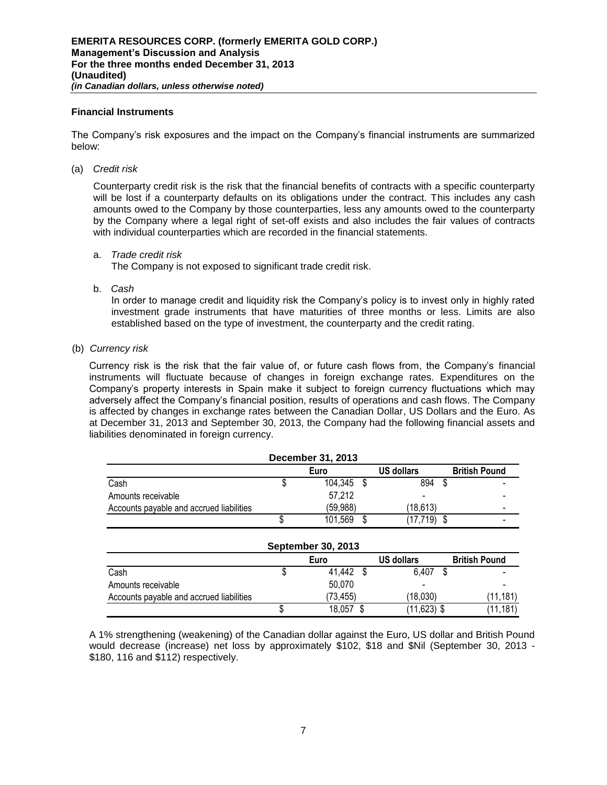### **Financial Instruments**

The Company's risk exposures and the impact on the Company's financial instruments are summarized below:

(a) *Credit risk* 

Counterparty credit risk is the risk that the financial benefits of contracts with a specific counterparty will be lost if a counterparty defaults on its obligations under the contract. This includes any cash amounts owed to the Company by those counterparties, less any amounts owed to the counterparty by the Company where a legal right of set-off exists and also includes the fair values of contracts with individual counterparties which are recorded in the financial statements.

a. *Trade credit risk*

The Company is not exposed to significant trade credit risk.

b. *Cash*

In order to manage credit and liquidity risk the Company's policy is to invest only in highly rated investment grade instruments that have maturities of three months or less. Limits are also established based on the type of investment, the counterparty and the credit rating.

(b) *Currency risk* 

Currency risk is the risk that the fair value of, or future cash flows from, the Company's financial instruments will fluctuate because of changes in foreign exchange rates. Expenditures on the Company's property interests in Spain make it subject to foreign currency fluctuations which may adversely affect the Company's financial position, results of operations and cash flows. The Company is affected by changes in exchange rates between the Canadian Dollar, US Dollars and the Euro. As at December 31, 2013 and September 30, 2013, the Company had the following financial assets and liabilities denominated in foreign currency.

|                                          | December 31, 2013         |                   |                      |
|------------------------------------------|---------------------------|-------------------|----------------------|
|                                          | Euro                      | <b>US dollars</b> | <b>British Pound</b> |
| Cash                                     | 104,345 \$                | 894 \$            |                      |
| Amounts receivable                       | 57,212                    |                   |                      |
| Accounts payable and accrued liabilities | (59,988)                  | (18,613)          |                      |
|                                          | 101,569                   | $(17, 719)$ \$    |                      |
|                                          | <b>September 30, 2013</b> |                   |                      |
|                                          | Furo                      | US dollars        | <b>British Pound</b> |

|                                          | Euro     | <b>US dollars</b> | <b>British Pound</b>     |
|------------------------------------------|----------|-------------------|--------------------------|
| Cash                                     | 41,442   | 6.407             | $\blacksquare$           |
| Amounts receivable                       | 50.070   | -                 | $\overline{\phantom{0}}$ |
| Accounts payable and accrued liabilities | (73.455) | (18.030)          | 11.181                   |
|                                          | 18,057   | $(11,623)$ \$     | (11, 181)                |

A 1% strengthening (weakening) of the Canadian dollar against the Euro, US dollar and British Pound would decrease (increase) net loss by approximately \$102, \$18 and \$Nil (September 30, 2013 - \$180, 116 and \$112) respectively.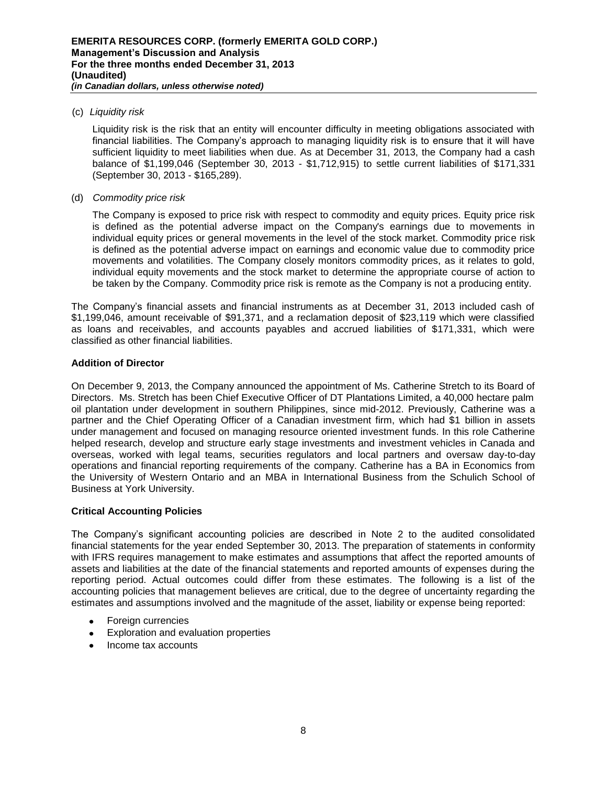## (c) *Liquidity risk*

Liquidity risk is the risk that an entity will encounter difficulty in meeting obligations associated with financial liabilities. The Company's approach to managing liquidity risk is to ensure that it will have sufficient liquidity to meet liabilities when due. As at December 31, 2013, the Company had a cash balance of \$1,199,046 (September 30, 2013 - \$1,712,915) to settle current liabilities of \$171,331 (September 30, 2013 - \$165,289).

## (d) *Commodity price risk*

The Company is exposed to price risk with respect to commodity and equity prices. Equity price risk is defined as the potential adverse impact on the Company's earnings due to movements in individual equity prices or general movements in the level of the stock market. Commodity price risk is defined as the potential adverse impact on earnings and economic value due to commodity price movements and volatilities. The Company closely monitors commodity prices, as it relates to gold, individual equity movements and the stock market to determine the appropriate course of action to be taken by the Company. Commodity price risk is remote as the Company is not a producing entity.

The Company's financial assets and financial instruments as at December 31, 2013 included cash of \$1,199,046, amount receivable of \$91,371, and a reclamation deposit of \$23,119 which were classified as loans and receivables, and accounts payables and accrued liabilities of \$171,331, which were classified as other financial liabilities.

# **Addition of Director**

On December 9, 2013, the Company announced the appointment of Ms. Catherine Stretch to its Board of Directors. Ms. Stretch has been Chief Executive Officer of DT Plantations Limited, a 40,000 hectare palm oil plantation under development in southern Philippines, since mid-2012. Previously, Catherine was a partner and the Chief Operating Officer of a Canadian investment firm, which had \$1 billion in assets under management and focused on managing resource oriented investment funds. In this role Catherine helped research, develop and structure early stage investments and investment vehicles in Canada and overseas, worked with legal teams, securities regulators and local partners and oversaw day-to-day operations and financial reporting requirements of the company. Catherine has a BA in Economics from the University of Western Ontario and an MBA in International Business from the Schulich School of Business at York University.

## **Critical Accounting Policies**

The Company's significant accounting policies are described in Note 2 to the audited consolidated financial statements for the year ended September 30, 2013. The preparation of statements in conformity with IFRS requires management to make estimates and assumptions that affect the reported amounts of assets and liabilities at the date of the financial statements and reported amounts of expenses during the reporting period. Actual outcomes could differ from these estimates. The following is a list of the accounting policies that management believes are critical, due to the degree of uncertainty regarding the estimates and assumptions involved and the magnitude of the asset, liability or expense being reported:

- Foreign currencies
- Exploration and evaluation properties
- Income tax accounts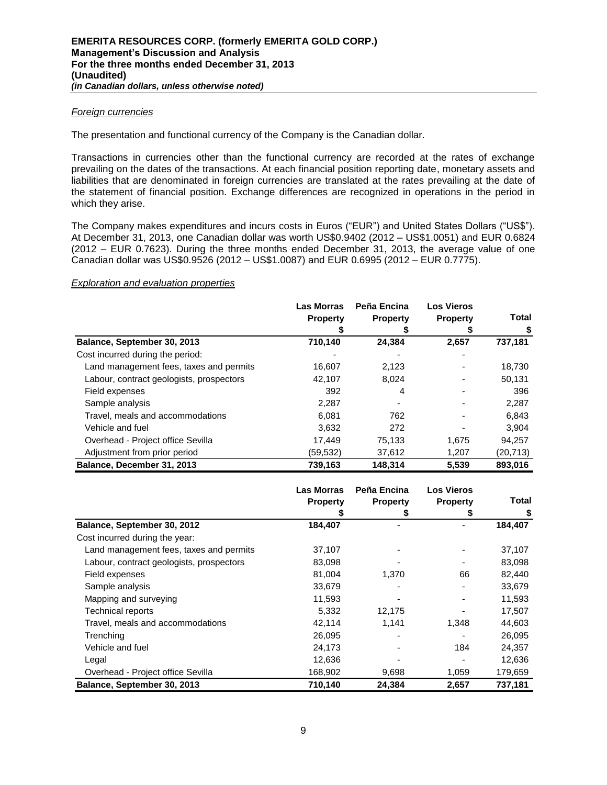## *Foreign currencies*

The presentation and functional currency of the Company is the Canadian dollar.

Transactions in currencies other than the functional currency are recorded at the rates of exchange prevailing on the dates of the transactions. At each financial position reporting date, monetary assets and liabilities that are denominated in foreign currencies are translated at the rates prevailing at the date of the statement of financial position. Exchange differences are recognized in operations in the period in which they arise.

The Company makes expenditures and incurs costs in Euros ("EUR") and United States Dollars ("US\$"). At December 31, 2013, one Canadian dollar was worth US\$0.9402 (2012 – US\$1.0051) and EUR 0.6824 (2012 – EUR 0.7623). During the three months ended December 31, 2013, the average value of one Canadian dollar was US\$0.9526 (2012 – US\$1.0087) and EUR 0.6995 (2012 – EUR 0.7775).

#### *Exploration and evaluation properties*

|                                          | <b>Las Morras</b><br><b>Property</b> | Peña Encina<br><b>Property</b> | <b>Los Vieros</b><br><b>Property</b> | Total     |
|------------------------------------------|--------------------------------------|--------------------------------|--------------------------------------|-----------|
|                                          |                                      |                                |                                      | \$        |
| Balance, September 30, 2013              | 710,140                              | 24,384                         | 2,657                                | 737,181   |
| Cost incurred during the period:         |                                      |                                |                                      |           |
| Land management fees, taxes and permits  | 16,607                               | 2,123                          |                                      | 18,730    |
| Labour, contract geologists, prospectors | 42,107                               | 8.024                          |                                      | 50,131    |
| Field expenses                           | 392                                  | 4                              |                                      | 396       |
| Sample analysis                          | 2,287                                |                                |                                      | 2,287     |
| Travel, meals and accommodations         | 6.081                                | 762                            |                                      | 6,843     |
| Vehicle and fuel                         | 3.632                                | 272                            |                                      | 3.904     |
| Overhead - Project office Sevilla        | 17,449                               | 75,133                         | 1,675                                | 94,257    |
| Adjustment from prior period             | (59, 532)                            | 37,612                         | 1,207                                | (20, 713) |
| Balance, December 31, 2013               | 739,163                              | 148.314                        | 5,539                                | 893,016   |

|                                          | <b>Las Morras</b> | Peña Encina     | <b>Los Vieros</b> |              |
|------------------------------------------|-------------------|-----------------|-------------------|--------------|
|                                          | <b>Property</b>   | <b>Property</b> | <b>Property</b>   | <b>Total</b> |
|                                          |                   | æ               | 5                 | \$           |
| Balance, September 30, 2012              | 184,407           |                 |                   | 184,407      |
| Cost incurred during the year:           |                   |                 |                   |              |
| Land management fees, taxes and permits  | 37,107            |                 |                   | 37,107       |
| Labour, contract geologists, prospectors | 83,098            |                 |                   | 83,098       |
| Field expenses                           | 81,004            | 1,370           | 66                | 82,440       |
| Sample analysis                          | 33,679            |                 |                   | 33,679       |
| Mapping and surveying                    | 11,593            |                 |                   | 11,593       |
| <b>Technical reports</b>                 | 5,332             | 12,175          |                   | 17,507       |
| Travel, meals and accommodations         | 42,114            | 1.141           | 1,348             | 44,603       |
| Trenching                                | 26,095            |                 |                   | 26,095       |
| Vehicle and fuel                         | 24,173            |                 | 184               | 24,357       |
| Legal                                    | 12,636            |                 |                   | 12,636       |
| Overhead - Project office Sevilla        | 168,902           | 9,698           | 1,059             | 179,659      |
| Balance, September 30, 2013              | 710,140           | 24,384          | 2,657             | 737,181      |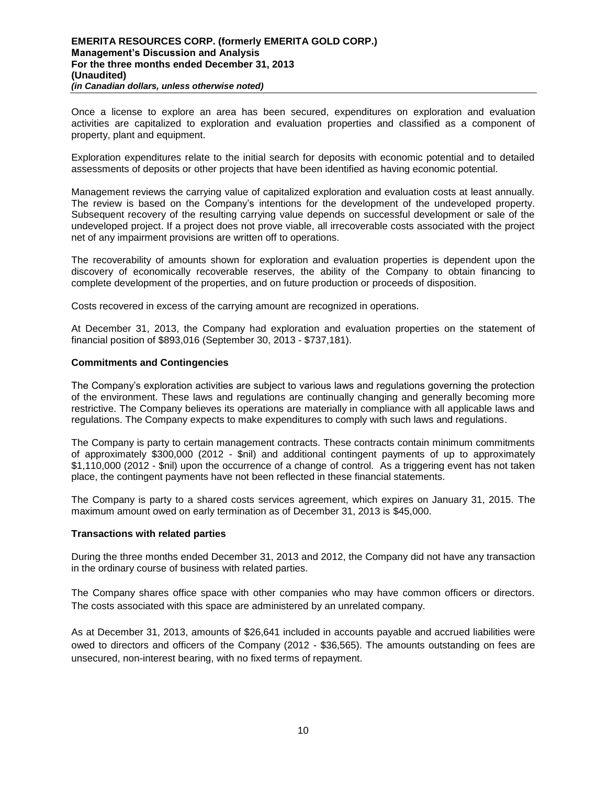Once a license to explore an area has been secured, expenditures on exploration and evaluation activities are capitalized to exploration and evaluation properties and classified as a component of property, plant and equipment.

Exploration expenditures relate to the initial search for deposits with economic potential and to detailed assessments of deposits or other projects that have been identified as having economic potential.

Management reviews the carrying value of capitalized exploration and evaluation costs at least annually. The review is based on the Company's intentions for the development of the undeveloped property. Subsequent recovery of the resulting carrying value depends on successful development or sale of the undeveloped project. If a project does not prove viable, all irrecoverable costs associated with the project net of any impairment provisions are written off to operations.

The recoverability of amounts shown for exploration and evaluation properties is dependent upon the discovery of economically recoverable reserves, the ability of the Company to obtain financing to complete development of the properties, and on future production or proceeds of disposition.

Costs recovered in excess of the carrying amount are recognized in operations.

At December 31, 2013, the Company had exploration and evaluation properties on the statement of financial position of \$893,016 (September 30, 2013 - \$737,181).

## **Commitments and Contingencies**

The Company's exploration activities are subject to various laws and regulations governing the protection of the environment. These laws and regulations are continually changing and generally becoming more restrictive. The Company believes its operations are materially in compliance with all applicable laws and regulations. The Company expects to make expenditures to comply with such laws and regulations.

The Company is party to certain management contracts. These contracts contain minimum commitments of approximately \$300,000 (2012 - \$nil) and additional contingent payments of up to approximately \$1,110,000 (2012 - \$nil) upon the occurrence of a change of control. As a triggering event has not taken place, the contingent payments have not been reflected in these financial statements.

The Company is party to a shared costs services agreement, which expires on January 31, 2015. The maximum amount owed on early termination as of December 31, 2013 is \$45,000.

#### **Transactions with related parties**

During the three months ended December 31, 2013 and 2012, the Company did not have any transaction in the ordinary course of business with related parties.

The Company shares office space with other companies who may have common officers or directors. The costs associated with this space are administered by an unrelated company.

As at December 31, 2013, amounts of \$26,641 included in accounts payable and accrued liabilities were owed to directors and officers of the Company (2012 - \$36,565). The amounts outstanding on fees are unsecured, non-interest bearing, with no fixed terms of repayment.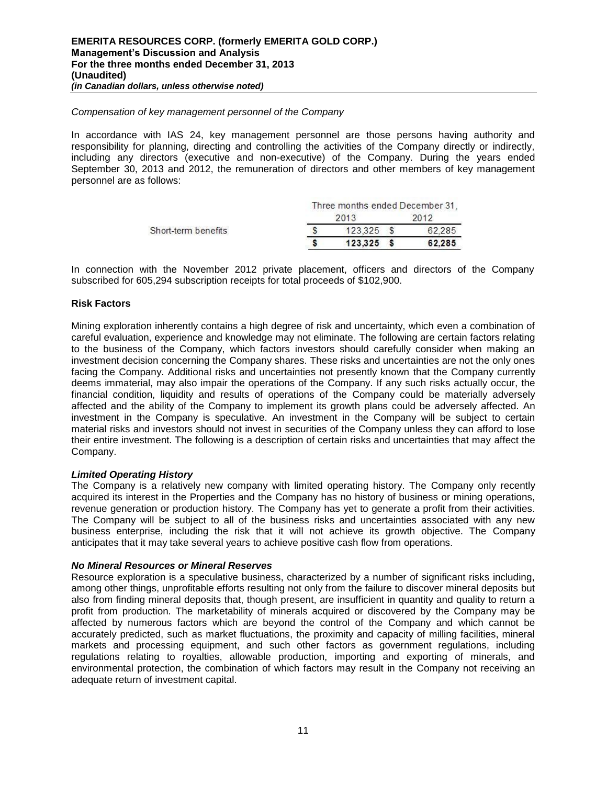#### *Compensation of key management personnel of the Company*

In accordance with IAS 24, key management personnel are those persons having authority and responsibility for planning, directing and controlling the activities of the Company directly or indirectly, including any directors (executive and non-executive) of the Company. During the years ended September 30, 2013 and 2012, the remuneration of directors and other members of key management personnel are as follows:

| Three months ended December 31, |      |  |                        |  |
|---------------------------------|------|--|------------------------|--|
|                                 | 2013 |  | 2012                   |  |
|                                 |      |  | 62 285                 |  |
|                                 |      |  | 62.285                 |  |
|                                 |      |  | 123325<br>$123.325$ \$ |  |

In connection with the November 2012 private placement, officers and directors of the Company subscribed for 605,294 subscription receipts for total proceeds of \$102,900.

#### **Risk Factors**

Mining exploration inherently contains a high degree of risk and uncertainty, which even a combination of careful evaluation, experience and knowledge may not eliminate. The following are certain factors relating to the business of the Company, which factors investors should carefully consider when making an investment decision concerning the Company shares. These risks and uncertainties are not the only ones facing the Company. Additional risks and uncertainties not presently known that the Company currently deems immaterial, may also impair the operations of the Company. If any such risks actually occur, the financial condition, liquidity and results of operations of the Company could be materially adversely affected and the ability of the Company to implement its growth plans could be adversely affected. An investment in the Company is speculative. An investment in the Company will be subject to certain material risks and investors should not invest in securities of the Company unless they can afford to lose their entire investment. The following is a description of certain risks and uncertainties that may affect the Company.

## *Limited Operating History*

The Company is a relatively new company with limited operating history. The Company only recently acquired its interest in the Properties and the Company has no history of business or mining operations, revenue generation or production history. The Company has yet to generate a profit from their activities. The Company will be subject to all of the business risks and uncertainties associated with any new business enterprise, including the risk that it will not achieve its growth objective. The Company anticipates that it may take several years to achieve positive cash flow from operations.

#### *No Mineral Resources or Mineral Reserves*

Resource exploration is a speculative business, characterized by a number of significant risks including, among other things, unprofitable efforts resulting not only from the failure to discover mineral deposits but also from finding mineral deposits that, though present, are insufficient in quantity and quality to return a profit from production. The marketability of minerals acquired or discovered by the Company may be affected by numerous factors which are beyond the control of the Company and which cannot be accurately predicted, such as market fluctuations, the proximity and capacity of milling facilities, mineral markets and processing equipment, and such other factors as government regulations, including regulations relating to royalties, allowable production, importing and exporting of minerals, and environmental protection, the combination of which factors may result in the Company not receiving an adequate return of investment capital.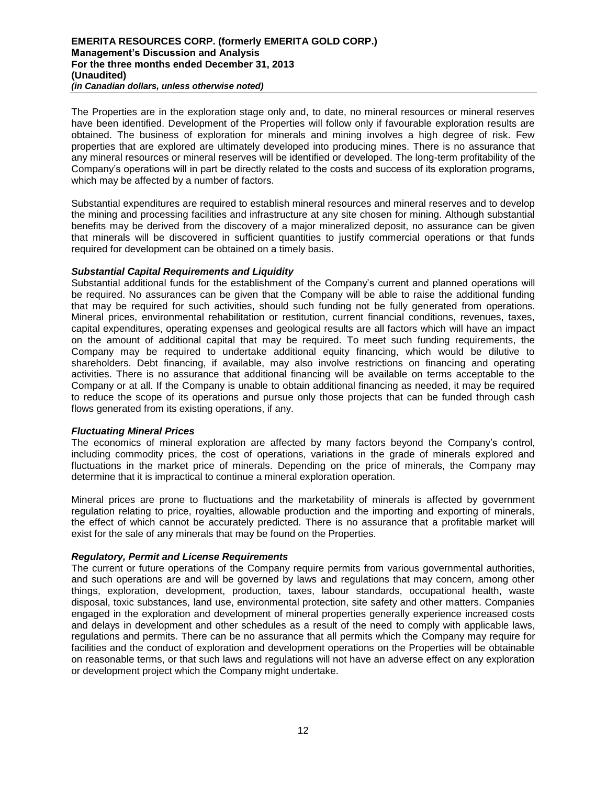The Properties are in the exploration stage only and, to date, no mineral resources or mineral reserves have been identified. Development of the Properties will follow only if favourable exploration results are obtained. The business of exploration for minerals and mining involves a high degree of risk. Few properties that are explored are ultimately developed into producing mines. There is no assurance that any mineral resources or mineral reserves will be identified or developed. The long-term profitability of the Company's operations will in part be directly related to the costs and success of its exploration programs, which may be affected by a number of factors.

Substantial expenditures are required to establish mineral resources and mineral reserves and to develop the mining and processing facilities and infrastructure at any site chosen for mining. Although substantial benefits may be derived from the discovery of a major mineralized deposit, no assurance can be given that minerals will be discovered in sufficient quantities to justify commercial operations or that funds required for development can be obtained on a timely basis.

## *Substantial Capital Requirements and Liquidity*

Substantial additional funds for the establishment of the Company's current and planned operations will be required. No assurances can be given that the Company will be able to raise the additional funding that may be required for such activities, should such funding not be fully generated from operations. Mineral prices, environmental rehabilitation or restitution, current financial conditions, revenues, taxes, capital expenditures, operating expenses and geological results are all factors which will have an impact on the amount of additional capital that may be required. To meet such funding requirements, the Company may be required to undertake additional equity financing, which would be dilutive to shareholders. Debt financing, if available, may also involve restrictions on financing and operating activities. There is no assurance that additional financing will be available on terms acceptable to the Company or at all. If the Company is unable to obtain additional financing as needed, it may be required to reduce the scope of its operations and pursue only those projects that can be funded through cash flows generated from its existing operations, if any.

## *Fluctuating Mineral Prices*

The economics of mineral exploration are affected by many factors beyond the Company's control, including commodity prices, the cost of operations, variations in the grade of minerals explored and fluctuations in the market price of minerals. Depending on the price of minerals, the Company may determine that it is impractical to continue a mineral exploration operation.

Mineral prices are prone to fluctuations and the marketability of minerals is affected by government regulation relating to price, royalties, allowable production and the importing and exporting of minerals, the effect of which cannot be accurately predicted. There is no assurance that a profitable market will exist for the sale of any minerals that may be found on the Properties.

## *Regulatory, Permit and License Requirements*

The current or future operations of the Company require permits from various governmental authorities, and such operations are and will be governed by laws and regulations that may concern, among other things, exploration, development, production, taxes, labour standards, occupational health, waste disposal, toxic substances, land use, environmental protection, site safety and other matters. Companies engaged in the exploration and development of mineral properties generally experience increased costs and delays in development and other schedules as a result of the need to comply with applicable laws, regulations and permits. There can be no assurance that all permits which the Company may require for facilities and the conduct of exploration and development operations on the Properties will be obtainable on reasonable terms, or that such laws and regulations will not have an adverse effect on any exploration or development project which the Company might undertake.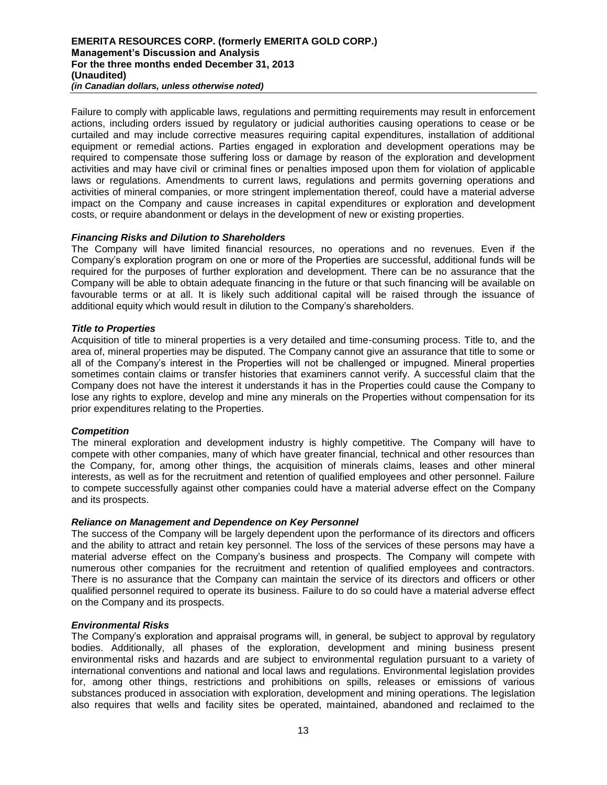Failure to comply with applicable laws, regulations and permitting requirements may result in enforcement actions, including orders issued by regulatory or judicial authorities causing operations to cease or be curtailed and may include corrective measures requiring capital expenditures, installation of additional equipment or remedial actions. Parties engaged in exploration and development operations may be required to compensate those suffering loss or damage by reason of the exploration and development activities and may have civil or criminal fines or penalties imposed upon them for violation of applicable laws or regulations. Amendments to current laws, regulations and permits governing operations and activities of mineral companies, or more stringent implementation thereof, could have a material adverse impact on the Company and cause increases in capital expenditures or exploration and development costs, or require abandonment or delays in the development of new or existing properties.

#### *Financing Risks and Dilution to Shareholders*

The Company will have limited financial resources, no operations and no revenues. Even if the Company's exploration program on one or more of the Properties are successful, additional funds will be required for the purposes of further exploration and development. There can be no assurance that the Company will be able to obtain adequate financing in the future or that such financing will be available on favourable terms or at all. It is likely such additional capital will be raised through the issuance of additional equity which would result in dilution to the Company's shareholders.

#### *Title to Properties*

Acquisition of title to mineral properties is a very detailed and time-consuming process. Title to, and the area of, mineral properties may be disputed. The Company cannot give an assurance that title to some or all of the Company's interest in the Properties will not be challenged or impugned. Mineral properties sometimes contain claims or transfer histories that examiners cannot verify. A successful claim that the Company does not have the interest it understands it has in the Properties could cause the Company to lose any rights to explore, develop and mine any minerals on the Properties without compensation for its prior expenditures relating to the Properties.

## *Competition*

The mineral exploration and development industry is highly competitive. The Company will have to compete with other companies, many of which have greater financial, technical and other resources than the Company, for, among other things, the acquisition of minerals claims, leases and other mineral interests, as well as for the recruitment and retention of qualified employees and other personnel. Failure to compete successfully against other companies could have a material adverse effect on the Company and its prospects.

#### *Reliance on Management and Dependence on Key Personnel*

The success of the Company will be largely dependent upon the performance of its directors and officers and the ability to attract and retain key personnel. The loss of the services of these persons may have a material adverse effect on the Company's business and prospects. The Company will compete with numerous other companies for the recruitment and retention of qualified employees and contractors. There is no assurance that the Company can maintain the service of its directors and officers or other qualified personnel required to operate its business. Failure to do so could have a material adverse effect on the Company and its prospects.

#### *Environmental Risks*

The Company's exploration and appraisal programs will, in general, be subject to approval by regulatory bodies. Additionally, all phases of the exploration, development and mining business present environmental risks and hazards and are subject to environmental regulation pursuant to a variety of international conventions and national and local laws and regulations. Environmental legislation provides for, among other things, restrictions and prohibitions on spills, releases or emissions of various substances produced in association with exploration, development and mining operations. The legislation also requires that wells and facility sites be operated, maintained, abandoned and reclaimed to the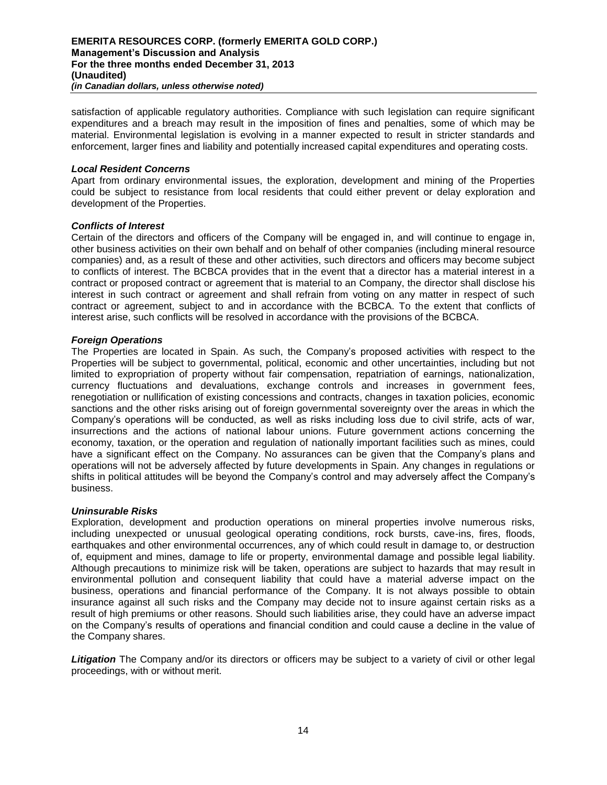satisfaction of applicable regulatory authorities. Compliance with such legislation can require significant expenditures and a breach may result in the imposition of fines and penalties, some of which may be material. Environmental legislation is evolving in a manner expected to result in stricter standards and enforcement, larger fines and liability and potentially increased capital expenditures and operating costs.

### *Local Resident Concerns*

Apart from ordinary environmental issues, the exploration, development and mining of the Properties could be subject to resistance from local residents that could either prevent or delay exploration and development of the Properties.

#### *Conflicts of Interest*

Certain of the directors and officers of the Company will be engaged in, and will continue to engage in, other business activities on their own behalf and on behalf of other companies (including mineral resource companies) and, as a result of these and other activities, such directors and officers may become subject to conflicts of interest. The BCBCA provides that in the event that a director has a material interest in a contract or proposed contract or agreement that is material to an Company, the director shall disclose his interest in such contract or agreement and shall refrain from voting on any matter in respect of such contract or agreement, subject to and in accordance with the BCBCA. To the extent that conflicts of interest arise, such conflicts will be resolved in accordance with the provisions of the BCBCA.

## *Foreign Operations*

The Properties are located in Spain. As such, the Company's proposed activities with respect to the Properties will be subject to governmental, political, economic and other uncertainties, including but not limited to expropriation of property without fair compensation, repatriation of earnings, nationalization, currency fluctuations and devaluations, exchange controls and increases in government fees, renegotiation or nullification of existing concessions and contracts, changes in taxation policies, economic sanctions and the other risks arising out of foreign governmental sovereignty over the areas in which the Company's operations will be conducted, as well as risks including loss due to civil strife, acts of war, insurrections and the actions of national labour unions. Future government actions concerning the economy, taxation, or the operation and regulation of nationally important facilities such as mines, could have a significant effect on the Company. No assurances can be given that the Company's plans and operations will not be adversely affected by future developments in Spain. Any changes in regulations or shifts in political attitudes will be beyond the Company's control and may adversely affect the Company's business.

#### *Uninsurable Risks*

Exploration, development and production operations on mineral properties involve numerous risks, including unexpected or unusual geological operating conditions, rock bursts, cave-ins, fires, floods, earthquakes and other environmental occurrences, any of which could result in damage to, or destruction of, equipment and mines, damage to life or property, environmental damage and possible legal liability. Although precautions to minimize risk will be taken, operations are subject to hazards that may result in environmental pollution and consequent liability that could have a material adverse impact on the business, operations and financial performance of the Company. It is not always possible to obtain insurance against all such risks and the Company may decide not to insure against certain risks as a result of high premiums or other reasons. Should such liabilities arise, they could have an adverse impact on the Company's results of operations and financial condition and could cause a decline in the value of the Company shares.

**Litigation** The Company and/or its directors or officers may be subject to a variety of civil or other legal proceedings, with or without merit.